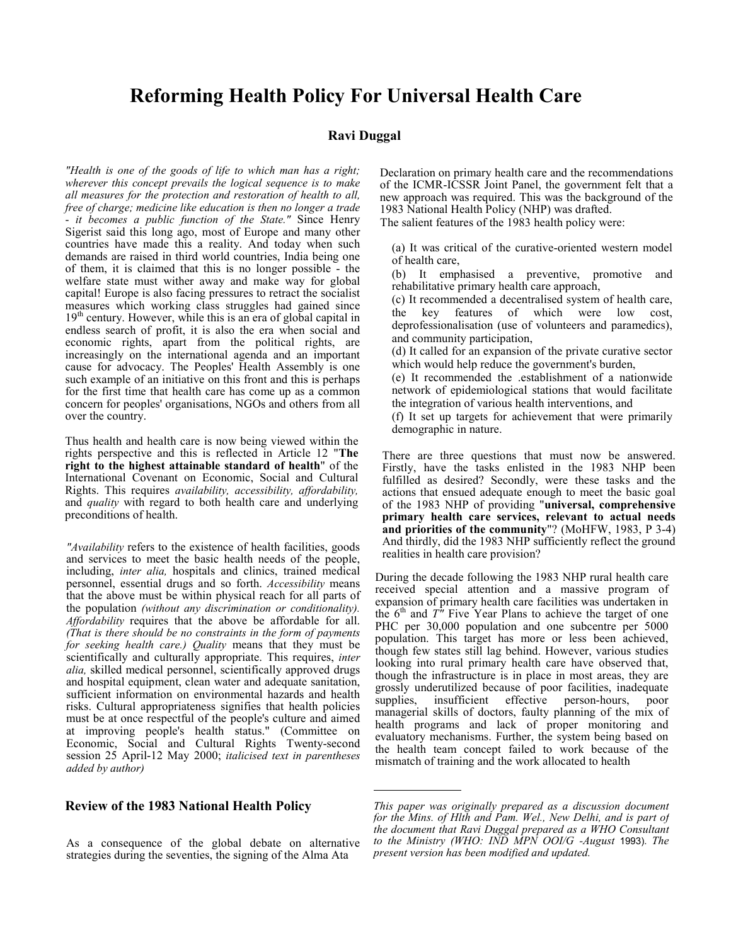# Reforming Health Policy For Universal Health Care

#### Ravi Duggal

"Health is one of the goods of life to which man has a right; wherever this concept prevails the logical sequence is to make all measures for the protection and restoration of health to all, free of charge; medicine like education is then no longer a trade  $\frac{1}{x}$  it becomes a public function of the State." Since Henry Sigerist said this long ago, most of Europe and many other countries have made this a reality. And today when such demands are raised in third world countries, India being one of them, it is claimed that this is no longer possible - the welfare state must wither away and make way for global capital! Europe is also facing pressures to retract the socialist measures which working class struggles had gained since  $19<sup>th</sup>$  century. However, while this is an era of global capital in endless search of profit, it is also the era when social and economic rights, apart from the political rights, are increasingly on the international agenda and an important cause for advocacy. The Peoples' Health Assembly is one such example of an initiative on this front and this is perhaps for the first time that health care has come up as a common concern for peoples' organisations, NGOs and others from all over the country.

Thus health and health care is now being viewed within the rights perspective and this is reflected in Article 12 "The right to the highest attainable standard of health" of the International Covenant on Economic, Social and Cultural Rights. This requires availability, accessibility, affordability, and *quality* with regard to both health care and underlying preconditions of health.

"Availability refers to the existence of health facilities, goods and services to meet the basic health needs of the people, including, inter alia, hospitals and clinics, trained medical personnel, essential drugs and so forth. Accessibility means that the above must be within physical reach for all parts of the population (without any discrimination or conditionality). Affordability requires that the above be affordable for all. (That is there should be no constraints in the form of payments for seeking health care.) Quality means that they must be scientifically and culturally appropriate. This requires, *inter* alia, skilled medical personnel, scientifically approved drugs and hospital equipment, clean water and adequate sanitation, sufficient information on environmental hazards and health risks. Cultural appropriateness signifies that health policies must be at once respectful of the people's culture and aimed at improving people's health status." (Committee on Economic, Social and Cultural Rights Twenty-second session 25 April-12 May 2000; italicised text in parentheses added by author)

#### Review of the 1983 National Health Policy

As a consequence of the global debate on alternative strategies during the seventies, the signing of the Alma Ata

Declaration on primary health care and the recommendations of the ICMR-ICSSR Joint Panel, the government felt that a new approach was required. This was the background of the 1983 National Health Policy (NHP) was drafted. The salient features of the 1983 health policy were:

(a) It was critical of the curative-oriented western model of health care,

(b) It emphasised a preventive, promotive and rehabilitative primary health care approach,

(c) It recommended a decentralised system of health care, the key features of which were low cost, deprofessionalisation (use of volunteers and paramedics), and community participation,

(d) It called for an expansion of the private curative sector which would help reduce the government's burden,

(e) It recommended the .establishment of a nationwide network of epidemiological stations that would facilitate the integration of various health interventions, and

(f) It set up targets for achievement that were primarily demographic in nature.

There are three questions that must now be answered. Firstly, have the tasks enlisted in the 1983 NHP been fulfilled as desired? Secondly, were these tasks and the actions that ensued adequate enough to meet the basic goal of the 1983 NHP of providing "universal, comprehensive primary health care services, relevant to actual needs and priorities of the community"? (MoHFW, 1983, P 3-4) And thirdly, did the 1983 NHP sufficiently reflect the ground realities in health care provision?

During the decade following the 1983 NHP rural health care received special attention and a massive program of expansion of primary health care facilities was undertaken in the  $6<sup>th</sup>$  and T'' Five Year Plans to achieve the target of one PHC per 30,000 population and one subcentre per 5000 population. This target has more or less been achieved, though few states still lag behind. However, various studies looking into rural primary health care have observed that, though the infrastructure is in place in most areas, they are grossly underutilized because of poor facilities, inadequate person-hours, poor managerial skills of doctors, faulty planning of the mix of health programs and lack of proper monitoring and evaluatory mechanisms. Further, the system being based on the health team concept failed to work because of the mismatch of training and the work allocated to health

This paper was originally prepared as a discussion document for the Mins. of Hlth and Pam. Wel., New Delhi, and is part of the document that Ravi Duggal prepared as a WHO Consultant to the Ministry (WHO: IND MPN OOI/G -August 1993). The present version has been modified and updated.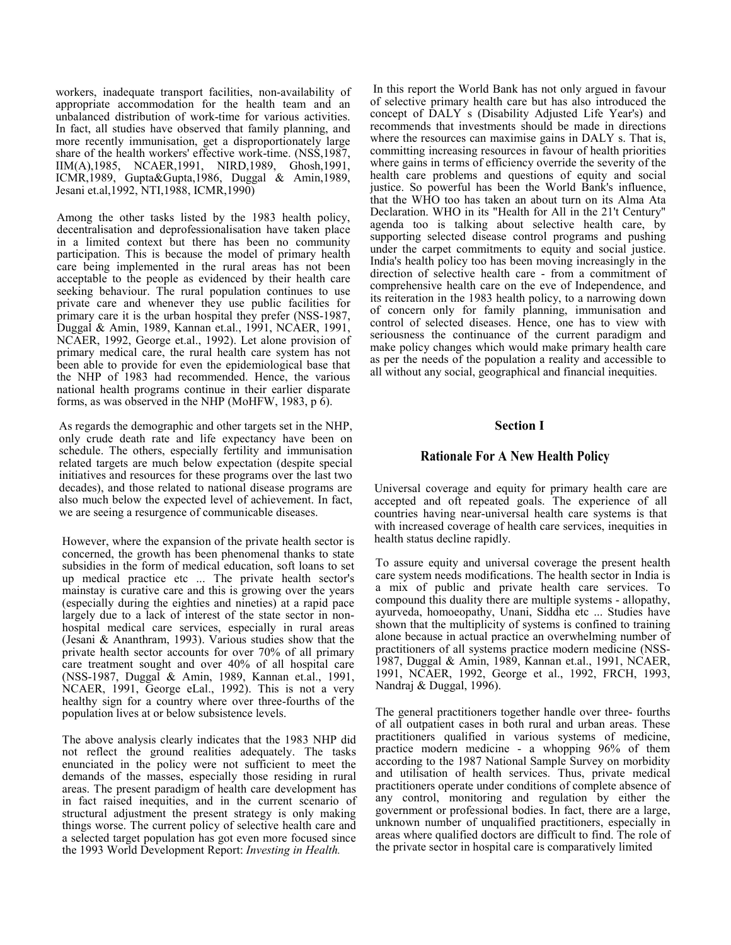workers, inadequate transport facilities, non-availability of appropriate accommodation for the health team and an unbalanced distribution of work-time for various activities. In fact, all studies have observed that family planning, and more recently immunisation, get a disproportionately large share of the health workers' effective work-time. (NSS,1987, IIM(A),1985, NCAER,1991, NIRD,1989, Ghosh,1991, ICMR,1989, Gupta&Gupta,1986, Duggal & Amin,1989, Jesani et.al,1992, NTI,1988, ICMR,1990)

Among the other tasks listed by the 1983 health policy, decentralisation and deprofessionalisation have taken place in a limited context but there has been no community participation. This is because the model of primary health care being implemented in the rural areas has not been acceptable to the people as evidenced by their health care seeking behaviour. The rural population continues to use private care and whenever they use public facilities for primary care it is the urban hospital they prefer (NSS-1987, Duggal & Amin, 1989, Kannan et.al., 1991, NCAER, 1991, NCAER, 1992, George et.al., 1992). Let alone provision of primary medical care, the rural health care system has not been able to provide for even the epidemiological base that the NHP of 1983 had recommended. Hence, the various national health programs continue in their earlier disparate forms, as was observed in the NHP (MoHFW, 1983,  $p \dot{6}$ ).

As regards the demographic and other targets set in the NHP, only crude death rate and life expectancy have been on schedule. The others, especially fertility and immunisation related targets are much below expectation (despite special initiatives and resources for these programs over the last two decades), and those related to national disease programs are also much below the expected level of achievement. In fact, we are seeing a resurgence of communicable diseases.

However, where the expansion of the private health sector is concerned, the growth has been phenomenal thanks to state subsidies in the form of medical education, soft loans to set up medical practice etc ... The private health sector's mainstay is curative care and this is growing over the years (especially during the eighties and nineties) at a rapid pace largely due to a lack of interest of the state sector in nonhospital medical care services, especially in rural areas (Jesani & Ananthram, 1993). Various studies show that the private health sector accounts for over 70% of all primary care treatment sought and over 40% of all hospital care (NSS-1987, Duggal & Amin, 1989, Kannan et.al., 1991, NCAER, 1991, George eLal., 1992). This is not a very healthy sign for a country where over three-fourths of the population lives at or below subsistence levels.

The above analysis clearly indicates that the 1983 NHP did not reflect the ground realities adequately. The tasks enunciated in the policy were not sufficient to meet the demands of the masses, especially those residing in rural areas. The present paradigm of health care development has in fact raised inequities, and in the current scenario of structural adjustment the present strategy is only making things worse. The current policy of selective health care and a selected target population has got even more focused since the 1993 World Development Report: Investing in Health.

In this report the World Bank has not only argued in favour of selective primary health care but has also introduced the concept of DALY s (Disability Adjusted Life Year's) and recommends that investments should be made in directions where the resources can maximise gains in DALY s. That is, committing increasing resources in favour of health priorities where gains in terms of efficiency override the severity of the health care problems and questions of equity and social justice. So powerful has been the World Bank's influence, that the WHO too has taken an about turn on its Alma Ata Declaration. WHO in its "Health for All in the 21't Century" agenda too is talking about selective health care, by supporting selected disease control programs and pushing under the carpet commitments to equity and social justice. India's health policy too has been moving increasingly in the direction of selective health care - from a commitment of comprehensive health care on the eve of Independence, and its reiteration in the 1983 health policy, to a narrowing down of concern only for family planning, immunisation and control of selected diseases. Hence, one has to view with seriousness the continuance of the current paradigm and make policy changes which would make primary health care as per the needs of the population a reality and accessible to all without any social, geographical and financial inequities.

#### Section I

#### Rationale For A New Health Policy

Universal coverage and equity for primary health care are accepted and oft repeated goals. The experience of all countries having near-universal health care systems is that with increased coverage of health care services, inequities in health status decline rapidly.

To assure equity and universal coverage the present health care system needs modifications. The health sector in India is a mix of public and private health care services. To compound this duality there are multiple systems - allopathy, ayurveda, homoeopathy, Unani, Siddha etc ... Studies have shown that the multiplicity of systems is confined to training alone because in actual practice an overwhelming number of practitioners of all systems practice modern medicine (NSS-1987, Duggal & Amin, 1989, Kannan et.al., 1991, NCAER, 1991, NCAER, 1992, George et al., 1992, FRCH, 1993, Nandraj & Duggal, 1996).

The general practitioners together handle over three- fourths of all outpatient cases in both rural and urban areas. These practitioners qualified in various systems of medicine, practice modern medicine - a whopping 96% of them according to the 1987 National Sample Survey on morbidity and utilisation of health services. Thus, private medical practitioners operate under conditions of complete absence of any control, monitoring and regulation by either the government or professional bodies. In fact, there are a large, unknown number of unqualified practitioners, especially in areas where qualified doctors are difficult to find. The role of the private sector in hospital care is comparatively limited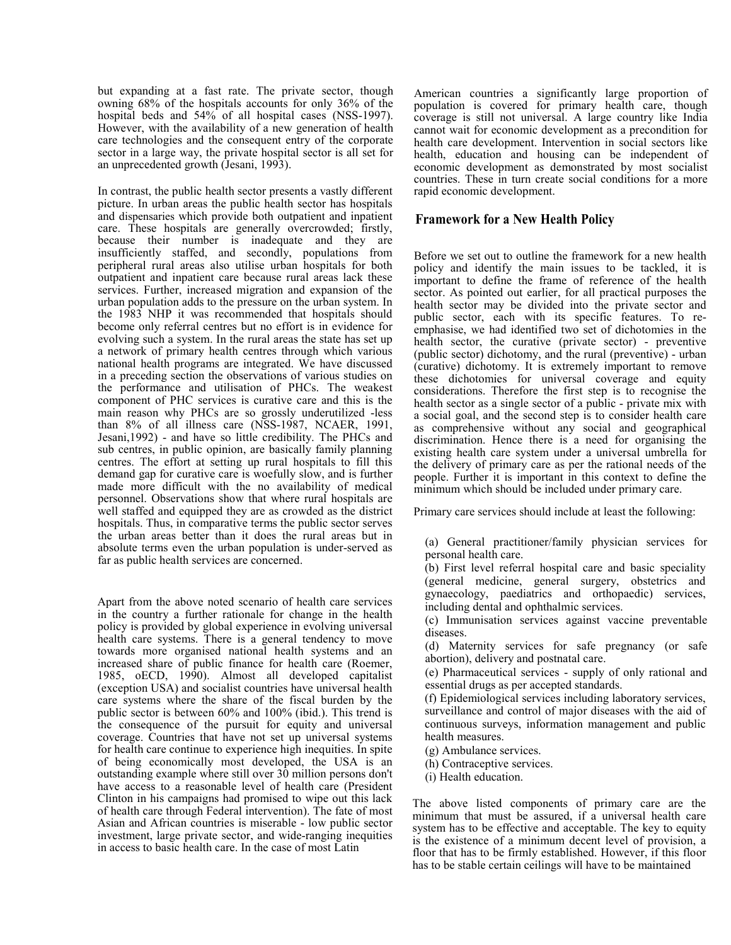but expanding at a fast rate. The private sector, though owning 68% of the hospitals accounts for only 36% of the hospital beds and 54% of all hospital cases (NSS-1997). However, with the availability of a new generation of health care technologies and the consequent entry of the corporate sector in a large way, the private hospital sector is all set for an unprecedented growth (Jesani, 1993).

In contrast, the public health sector presents a vastly different picture. In urban areas the public health sector has hospitals and dispensaries which provide both outpatient and inpatient care. These hospitals are generally overcrowded; firstly, because their number is inadequate and they are insufficiently staffed, and secondly, populations from peripheral rural areas also utilise urban hospitals for both outpatient and inpatient care because rural areas lack these services. Further, increased migration and expansion of the urban population adds to the pressure on the urban system. In the 1983 NHP it was recommended that hospitals should become only referral centres but no effort is in evidence for evolving such a system. In the rural areas the state has set up a network of primary health centres through which various national health programs are integrated. We have discussed in a preceding section the observations of various studies on the performance and utilisation of PHCs. The weakest component of PHC services is curative care and this is the main reason why PHCs are so grossly underutilized -less than 8% of all illness care (NSS-1987, NCAER, 1991, Jesani,1992) - and have so little credibility. The PHCs and sub centres, in public opinion, are basically family planning centres. The effort at setting up rural hospitals to fill this demand gap for curative care is woefully slow, and is further made more difficult with the no availability of medical personnel. Observations show that where rural hospitals are well staffed and equipped they are as crowded as the district hospitals. Thus, in comparative terms the public sector serves the urban areas better than it does the rural areas but in absolute terms even the urban population is under-served as far as public health services are concerned.

Apart from the above noted scenario of health care services in the country a further rationale for change in the health policy is provided by global experience in evolving universal health care systems. There is a general tendency to move towards more organised national health systems and an increased share of public finance for health care (Roemer, 1985, oECD, 1990). Almost all developed capitalist (exception USA) and socialist countries have universal health care systems where the share of the fiscal burden by the public sector is between 60% and 100% (ibid.). This trend is the consequence of the pursuit for equity and universal coverage. Countries that have not set up universal systems for health care continue to experience high inequities. In spite of being economically most developed, the USA is an outstanding example where still over 30 million persons don't have access to a reasonable level of health care (President Clinton in his campaigns had promised to wipe out this lack of health care through Federal intervention). The fate of most Asian and African countries is miserable - low public sector investment, large private sector, and wide-ranging inequities in access to basic health care. In the case of most Latin

American countries a significantly large proportion of population is covered for primary health care, though coverage is still not universal. A large country like India cannot wait for economic development as a precondition for health care development. Intervention in social sectors like health, education and housing can be independent of economic development as demonstrated by most socialist countries. These in turn create social conditions for a more rapid economic development.

#### Framework for a New Health Policy

Before we set out to outline the framework for a new health policy and identify the main issues to be tackled, it is important to define the frame of reference of the health sector. As pointed out earlier, for all practical purposes the health sector may be divided into the private sector and public sector, each with its specific features. To reemphasise, we had identified two set of dichotomies in the health sector, the curative (private sector) - preventive (public sector) dichotomy, and the rural (preventive) - urban (curative) dichotomy. It is extremely important to remove these dichotomies for universal coverage and equity considerations. Therefore the first step is to recognise the health sector as a single sector of a public - private mix with a social goal, and the second step is to consider health care as comprehensive without any social and geographical discrimination. Hence there is a need for organising the existing health care system under a universal umbrella for the delivery of primary care as per the rational needs of the people. Further it is important in this context to define the minimum which should be included under primary care.

Primary care services should include at least the following:

(a) General practitioner/family physician services for personal health care.

(b) First level referral hospital care and basic speciality (general medicine, general surgery, obstetrics and gynaecology, paediatrics and orthopaedic) services, including dental and ophthalmic services.

(c) Immunisation services against vaccine preventable diseases.

(d) Maternity services for safe pregnancy (or safe abortion), delivery and postnatal care.

(e) Pharmaceutical services - supply of only rational and essential drugs as per accepted standards.

(f) Epidemiological services including laboratory services, surveillance and control of major diseases with the aid of continuous surveys, information management and public health measures.

(g) Ambulance services.

(h) Contraceptive services.

(i) Health education.

The above listed components of primary care are the minimum that must be assured, if a universal health care system has to be effective and acceptable. The key to equity is the existence of a minimum decent level of provision, a floor that has to be firmly established. However, if this floor has to be stable certain ceilings will have to be maintained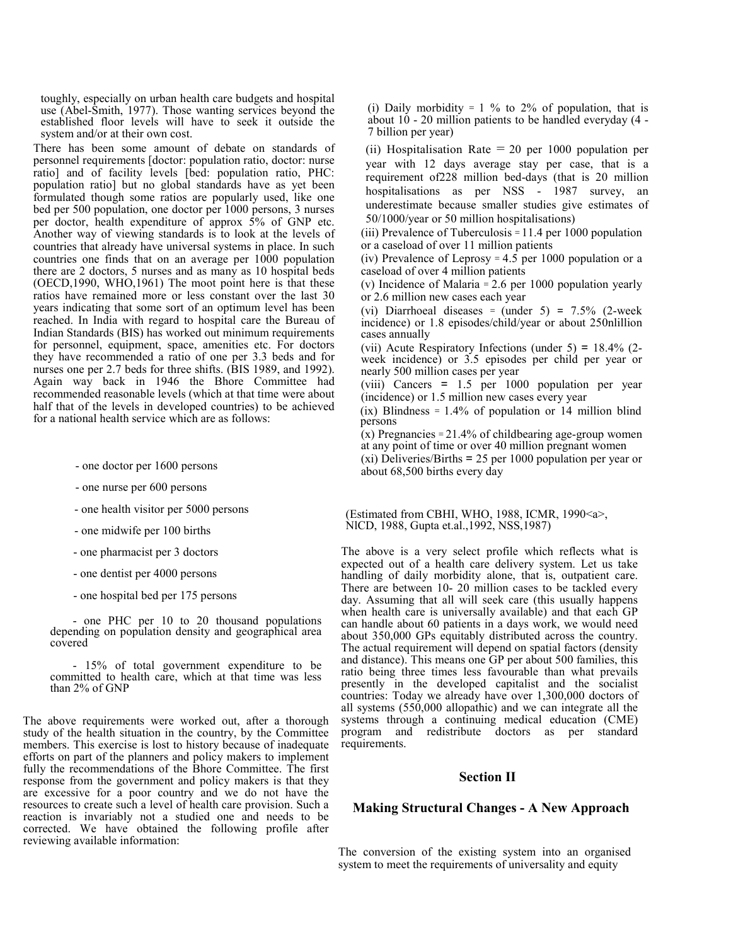toughly, especially on urban health care budgets and hospital use (Abel-Smith, 1977). Those wanting services beyond the established floor levels will have to seek it outside the system and/or at their own cost.

There has been some amount of debate on standards of personnel requirements [doctor: population ratio, doctor: nurse ratio] and of facility levels [bed: population ratio, PHC: population ratio] but no global standards have as yet been formulated though some ratios are popularly used, like one bed per 500 population, one doctor per 1000 persons, 3 nurses per doctor, health expenditure of approx 5% of GNP etc. Another way of viewing standards is to look at the levels of countries that already have universal systems in place. In such countries one finds that on an average per 1000 population there are 2 doctors, 5 nurses and as many as 10 hospital beds (OECD,1990, WHO,1961) The moot point here is that these ratios have remained more or less constant over the last 30 years indicating that some sort of an optimum level has been reached. In India with regard to hospital care the Bureau of Indian Standards (BIS) has worked out minimum requirements for personnel, equipment, space, amenities etc. For doctors they have recommended a ratio of one per 3.3 beds and for nurses one per 2.7 beds for three shifts. (BIS 1989, and 1992). Again way back in 1946 the Bhore Committee had recommended reasonable levels (which at that time were about half that of the levels in developed countries) to be achieved for a national health service which are as follows:

- one doctor per 1600 persons
- one nurse per 600 persons
- one health visitor per 5000 persons
- one midwife per 100 births
- one pharmacist per 3 doctors
- one dentist per 4000 persons
- one hospital bed per 175 persons

- one PHC per 10 to 20 thousand populations depending on population density and geographical area covered

- 15% of total government expenditure to be committed to health care, which at that time was less than 2% of GNP

The above requirements were worked out, after a thorough study of the health situation in the country, by the Committee members. This exercise is lost to history because of inadequate efforts on part of the planners and policy makers to implement fully the recommendations of the Bhore Committee. The first response from the government and policy makers is that they are excessive for a poor country and we do not have the resources to create such a level of health care provision. Such a reaction is invariably not a studied one and needs to be corrected. We have obtained the following profile after reviewing available information:

(i) Daily morbidity =  $1\%$  to  $2\%$  of population, that is about 10 - 20 million patients to be handled everyday (4 - 7 billion per year)

(ii) Hospitalisation Rate  $= 20$  per 1000 population per year with 12 days average stay per case, that is a requirement of228 million bed-days (that is 20 million hospitalisations as per NSS - 1987 survey, an underestimate because smaller studies give estimates of 50/1000/year or 50 million hospitalisations)

(iii) Prevalence of Tuberculosis = 11.4 per 1000 population or a caseload of over 11 million patients

(iv) Prevalence of Leprosy  $= 4.5$  per 1000 population or a caseload of over 4 million patients

(v) Incidence of Malaria = 2.6 per 1000 population yearly or 2.6 million new cases each year

(vi) Diarrhoeal diseases = (under  $5$ ) =  $7.5\%$  (2-week incidence) or 1.8 episodes/child/year or about 250nlillion cases annually

(vii) Acute Respiratory Infections (under 5) = 18.4% (2 week incidence) or 3.5 episodes per child per year or nearly 500 million cases per year

(viii) Cancers = 1.5 per 1000 population per year (incidence) or 1.5 million new cases every year

 $(ix)$  Blindness = 1.4% of population or 14 million blind persons

 $(x)$  Pregnancies = 21.4% of childbearing age-group women at any point of time or over 40 million pregnant women

(xi) Deliveries/Births = 25 per 1000 population per year or about 68,500 births every day

(Estimated from CBHI, WHO, 1988, ICMR, 1990<a>, NlCD, 1988, Gupta et.al.,1992, NSS,1987)

The above is a very select profile which reflects what is expected out of a health care delivery system. Let us take handling of daily morbidity alone, that is, outpatient care. There are between 10- 20 million cases to be tackled every day. Assuming that all will seek care (this usually happens when health care is universally available) and that each GP can handle about 60 patients in a days work, we would need about 350,000 GPs equitably distributed across the country. The actual requirement will depend on spatial factors (density and distance). This means one GP per about 500 families, this ratio being three times less favourable than what prevails presently in the developed capitalist and the socialist countries: Today we already have over 1,300,000 doctors of all systems (550,000 allopathic) and we can integrate all the systems through a continuing medical education (CME) program and redistribute doctors as per standard requirements.

#### Section II

#### Making Structural Changes - A New Approach

The conversion of the existing system into an organised system to meet the requirements of universality and equity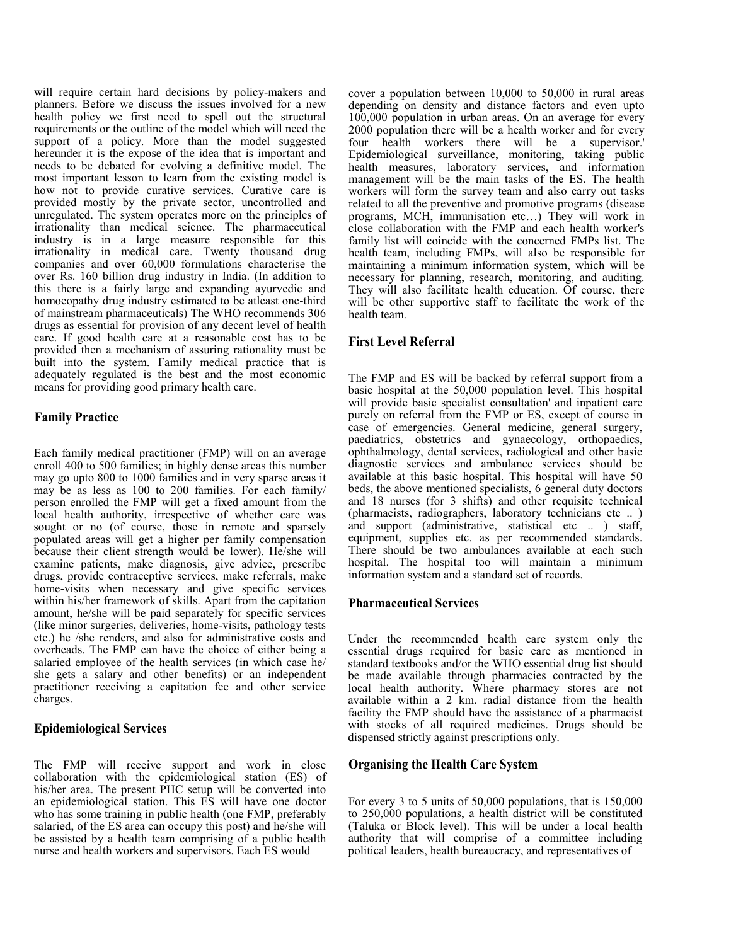will require certain hard decisions by policy-makers and planners. Before we discuss the issues involved for a new health policy we first need to spell out the structural requirements or the outline of the model which will need the support of a policy. More than the model suggested hereunder it is the expose of the idea that is important and needs to be debated for evolving a definitive model. The most important lesson to learn from the existing model is how not to provide curative services. Curative care is provided mostly by the private sector, uncontrolled and unregulated. The system operates more on the principles of irrationality than medical science. The pharmaceutical industry is in a large measure responsible for this irrationality in medical care. Twenty thousand drug companies and over 60,000 formulations characterise the over Rs. 160 billion drug industry in India. (In addition to this there is a fairly large and expanding ayurvedic and homoeopathy drug industry estimated to be atleast one-third of mainstream pharmaceuticals) The WHO recommends 306 drugs as essential for provision of any decent level of health care. If good health care at a reasonable cost has to be provided then a mechanism of assuring rationality must be built into the system. Family medical practice that is adequately regulated is the best and the most economic means for providing good primary health care.

## Family Practice

Each family medical practitioner (FMP) will on an average enroll 400 to 500 families; in highly dense areas this number may go upto 800 to 1000 families and in very sparse areas it may be as less as 100 to 200 families. For each family/ person enrolled the FMP will get a fixed amount from the local health authority, irrespective of whether care was sought or no (of course, those in remote and sparsely populated areas will get a higher per family compensation because their client strength would be lower). He/she will examine patients, make diagnosis, give advice, prescribe drugs, provide contraceptive services, make referrals, make home-visits when necessary and give specific services within his/her framework of skills. Apart from the capitation amount, he/she will be paid separately for specific services (like minor surgeries, deliveries, home-visits, pathology tests etc.) he /she renders, and also for administrative costs and overheads. The FMP can have the choice of either being a salaried employee of the health services (in which case he/ she gets a salary and other benefits) or an independent practitioner receiving a capitation fee and other service charges.

#### Epidemiological Services

The FMP will receive support and work in close collaboration with the epidemiological station (ES) of his/her area. The present PHC setup will be converted into an epidemiological station. This ES will have one doctor who has some training in public health (one FMP, preferably salaried, of the ES area can occupy this post) and he/she will be assisted by a health team comprising of a public health nurse and health workers and supervisors. Each ES would

cover a population between 10,000 to 50,000 in rural areas depending on density and distance factors and even upto 100,000 population in urban areas. On an average for every 2000 population there will be a health worker and for every four health workers there will be a supervisor.' Epidemiological surveillance, monitoring, taking public health measures, laboratory services, and information management will be the main tasks of the ES. The health workers will form the survey team and also carry out tasks related to all the preventive and promotive programs (disease programs, MCH, immunisation etc…) They will work in close collaboration with the FMP and each health worker's family list will coincide with the concerned FMPs list. The health team, including FMPs, will also be responsible for maintaining a minimum information system, which will be necessary for planning, research, monitoring, and auditing. They will also facilitate health education. Of course, there will be other supportive staff to facilitate the work of the health team.

## First Level Referral

The FMP and ES will be backed by referral support from a basic hospital at the 50,000 population level. This hospital will provide basic specialist consultation' and inpatient care purely on referral from the FMP or ES, except of course in case of emergencies. General medicine, general surgery, paediatrics, obstetrics and gynaecology, orthopaedics, ophthalmology, dental services, radiological and other basic diagnostic services and ambulance services should be available at this basic hospital. This hospital will have 50 beds, the above mentioned specialists, 6 general duty doctors and 18 nurses (for 3 shifts) and other requisite technical (pharmacists, radiographers, laboratory technicians etc .. ) and support (administrative, statistical etc .. ) staff, equipment, supplies etc. as per recommended standards. There should be two ambulances available at each such hospital. The hospital too will maintain a minimum information system and a standard set of records.

#### Pharmaceutical Services

Under the recommended health care system only the essential drugs required for basic care as mentioned in standard textbooks and/or the WHO essential drug list should be made available through pharmacies contracted by the local health authority. Where pharmacy stores are not available within a 2 km. radial distance from the health facility the FMP should have the assistance of a pharmacist with stocks of all required medicines. Drugs should be dispensed strictly against prescriptions only.

#### Organising the Health Care System

For every 3 to 5 units of 50,000 populations, that is 150,000 to 250,000 populations, a health district will be constituted (Taluka or Block level). This will be under a local health authority that will comprise of a committee including political leaders, health bureaucracy, and representatives of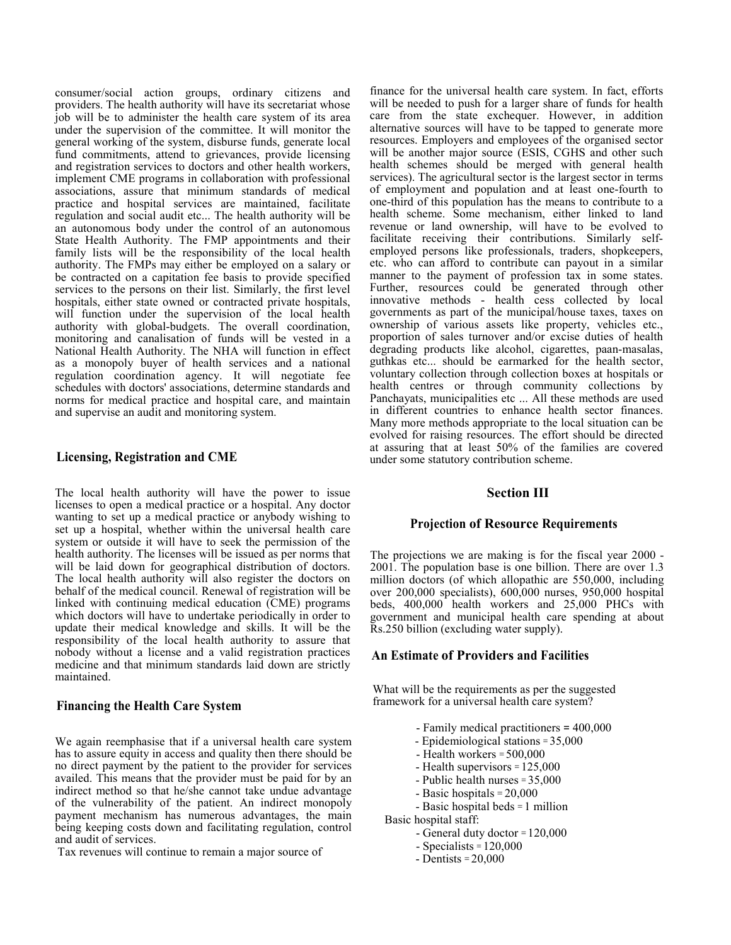consumer/social action groups, ordinary citizens and providers. The health authority will have its secretariat whose job will be to administer the health care system of its area under the supervision of the committee. It will monitor the general working of the system, disburse funds, generate local fund commitments, attend to grievances, provide licensing and registration services to doctors and other health workers, implement CME programs in collaboration with professional associations, assure that minimum standards of medical practice and hospital services are maintained, facilitate regulation and social audit etc... The health authority will be an autonomous body under the control of an autonomous State Health Authority. The FMP appointments and their family lists will be the responsibility of the local health authority. The FMPs may either be employed on a salary or be contracted on a capitation fee basis to provide specified services to the persons on their list. Similarly, the first level hospitals, either state owned or contracted private hospitals, will function under the supervision of the local health authority with global-budgets. The overall coordination, monitoring and canalisation of funds will be vested in a National Health Authority. The NHA will function in effect as a monopoly buyer of health services and a national regulation coordination agency. It will negotiate fee schedules with doctors' associations, determine standards and norms for medical practice and hospital care, and maintain and supervise an audit and monitoring system.

#### Licensing, Registration and CME

The local health authority will have the power to issue licenses to open a medical practice or a hospital. Any doctor wanting to set up a medical practice or anybody wishing to set up a hospital, whether within the universal health care system or outside it will have to seek the permission of the health authority. The licenses will be issued as per norms that will be laid down for geographical distribution of doctors. The local health authority will also register the doctors on behalf of the medical council. Renewal of registration will be linked with continuing medical education (CME) programs which doctors will have to undertake periodically in order to update their medical knowledge and skills. It will be the responsibility of the local health authority to assure that nobody without a license and a valid registration practices medicine and that minimum standards laid down are strictly maintained.

#### Financing the Health Care System

We again reemphasise that if a universal health care system has to assure equity in access and quality then there should be no direct payment by the patient to the provider for services availed. This means that the provider must be paid for by an indirect method so that he/she cannot take undue advantage of the vulnerability of the patient. An indirect monopoly payment mechanism has numerous advantages, the main being keeping costs down and facilitating regulation, control and audit of services.

Tax revenues will continue to remain a major source of

finance for the universal health care system. In fact, efforts will be needed to push for a larger share of funds for health care from the state exchequer. However, in addition alternative sources will have to be tapped to generate more resources. Employers and employees of the organised sector will be another major source (ESIS, CGHS and other such health schemes should be merged with general health services). The agricultural sector is the largest sector in terms of employment and population and at least one-fourth to one-third of this population has the means to contribute to a health scheme. Some mechanism, either linked to land revenue or land ownership, will have to be evolved to facilitate receiving their contributions. Similarly selfemployed persons like professionals, traders, shopkeepers, etc. who can afford to contribute can payout in a similar manner to the payment of profession tax in some states. Further, resources could be generated through other innovative methods - health cess collected by local governments as part of the municipal/house taxes, taxes on ownership of various assets like property, vehicles etc., proportion of sales turnover and/or excise duties of health degrading products like alcohol, cigarettes, paan-masalas, guthkas etc... should be earmarked for the health sector, voluntary collection through collection boxes at hospitals or health centres or through community collections by Panchayats, municipalities etc ... All these methods are used in different countries to enhance health sector finances. Many more methods appropriate to the local situation can be evolved for raising resources. The effort should be directed at assuring that at least 50% of the families are covered under some statutory contribution scheme.

#### Section III

#### Projection of Resource Requirements

The projections we are making is for the fiscal year 2000 - 2001. The population base is one billion. There are over 1.3 million doctors (of which allopathic are 550,000, including over 200,000 specialists), 600,000 nurses, 950,000 hospital beds, 400,000 health workers and 25,000 PHCs with government and municipal health care spending at about Rs.250 billion (excluding water supply).

#### An Estimate of Providers and Facilities

What will be the requirements as per the suggested framework for a universal health care system?

- Family medical practitioners = 400,000
- Epidemiological stations = 35,000
- Health workers = 500,000
- Health supervisors = 125,000
- Public health nurses = 35,000
- Basic hospitals = 20,000
- Basic hospital beds = 1 million
- Basic hospital staff:
	- General duty doctor = 120,000
	- Specialists = 120,000
	- Dentists = 20,000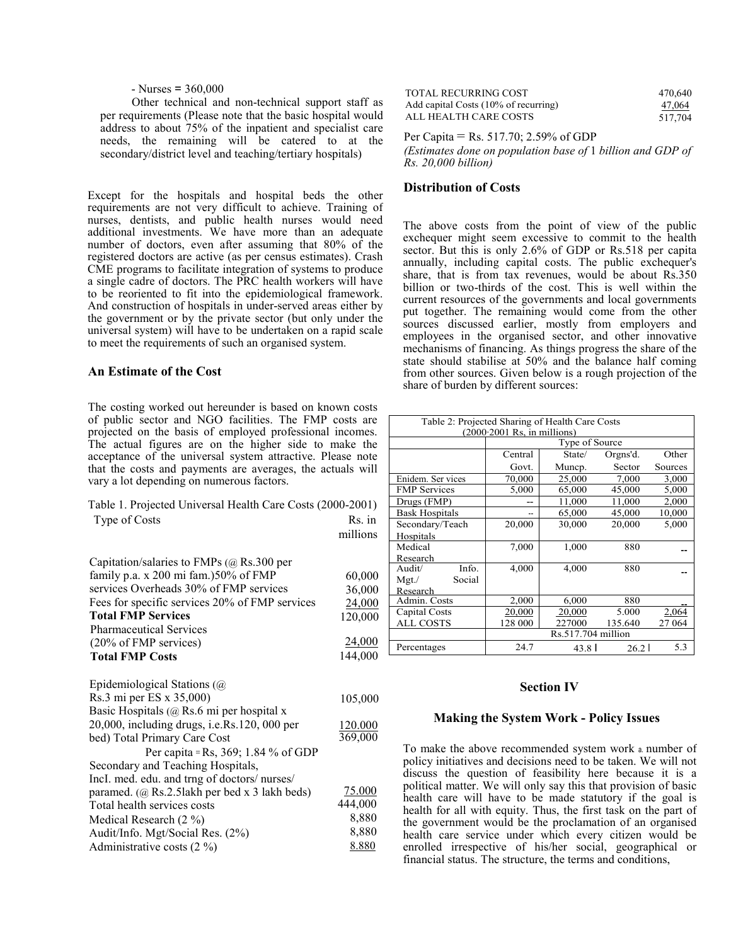#### $-$  Nurses = 360,000

Other technical and non-technical support staff as per requirements (Please note that the basic hospital would address to about 75% of the inpatient and specialist care needs, the remaining will be catered to at the secondary/district level and teaching/tertiary hospitals)

Except for the hospitals and hospital beds the other **Distribution of Costs** requirements are not very difficult to achieve. Training of nurses, dentists, and public health nurses would need additional investments. We have more than an adequate number of doctors, even after assuming that 80% of the registered doctors are active (as per census estimates). Crash CME programs to facilitate integration of systems to produce a single cadre of doctors. The PRC health workers will have to be reoriented to fit into the epidemiological framework. And construction of hospitals in under-served areas either by the government or by the private sector (but only under the universal system) will have to be undertaken on a rapid scale to meet the requirements of such an organised system.

#### An Estimate of the Cost

The costing worked out hereunder is based on known costs of public sector and NGO facilities. The FMP costs are projected on the basis of employed professional incomes. The actual figures are on the higher side to make the acceptance of the universal system attractive. Please note that the costs and payments are averages, the actuals will vary a lot depending on numerous factors.

|               | Table 1. Projected Universal Health Care Costs (2000-2001) |  |
|---------------|------------------------------------------------------------|--|
| Type of Costs | Rs. in                                                     |  |

millions

| Capitation/salaries to FMPs $(a)$ Rs.300 per   |         |
|------------------------------------------------|---------|
| family p.a. x 200 mi fam.) 50% of FMP          | 60,000  |
| services Overheads 30% of FMP services         | 36,000  |
| Fees for specific services 20% of FMP services | 24,000  |
| <b>Total FMP Services</b>                      | 120,000 |
| <b>Pharmaceutical Services</b>                 |         |
| (20% of FMP services)                          | 24,000  |
| <b>Total FMP Costs</b>                         | 144.000 |

| Epidemiological Stations $(a)$                       |         |
|------------------------------------------------------|---------|
| Rs.3 mi per ES x 35,000)                             | 105,000 |
| Basic Hospitals ( $@$ Rs.6 mi per hospital x         |         |
| 20,000, including drugs, <i>i.e.Rs.120</i> , 000 per | 120.000 |
| bed) Total Primary Care Cost                         | 369,000 |
| Per capita = Rs, 369; 1.84 % of GDP                  |         |
| Secondary and Teaching Hospitals,                    |         |
| IncI. med. edu. and trng of doctors/nurses/          |         |
| paramed. (@ Rs.2.5lakh per bed x 3 lakh beds)        | 75.000  |
| Total health services costs                          | 444,000 |
| Medical Research (2 %)                               | 8,880   |
| Audit/Info. Mgt/Social Res. (2%)                     | 8,880   |
| Administrative costs $(2 \%)$                        | 8.880   |
|                                                      |         |

| <b>TOTAL RECURRING COST</b>          | 470.640 |
|--------------------------------------|---------|
| Add capital Costs (10% of recurring) | 47,064  |
| ALL HEALTH CARE COSTS                | 517.704 |

Per Capita = Rs. 517.70; 2.59% of GDP

(Estimates done on population base of 1 billion and GDP of Rs. 20,000 billion)

The above costs from the point of view of the public exchequer might seem excessive to commit to the health sector. But this is only 2.6% of GDP or Rs.518 per capita annually, including capital costs. The public exchequer's share, that is from tax revenues, would be about Rs.350 billion or two-thirds of the cost. This is well within the current resources of the governments and local governments put together. The remaining would come from the other sources discussed earlier, mostly from employers and employees in the organised sector, and other innovative mechanisms of financing. As things progress the share of the state should stabilise at 50% and the balance half coming from other sources. Given below is a rough projection of the share of burden by different sources:

| Table 2: Projected Sharing of Health Care Costs<br>$(2000 \cdot 2001$ Rs, in millions) |                    |        |          |         |  |
|----------------------------------------------------------------------------------------|--------------------|--------|----------|---------|--|
|                                                                                        | Type of Source     |        |          |         |  |
|                                                                                        | Central            | State/ | Orgns'd. | Other   |  |
|                                                                                        | Govt.              | Muncp. | Sector   | Sources |  |
| Enidem. Ser vices                                                                      | 70,000             | 25,000 | 7.000    | 3,000   |  |
| <b>FMP</b> Services                                                                    | 5,000              | 65,000 | 45,000   | 5,000   |  |
| Drugs (FMP)                                                                            |                    | 11,000 | 11.000   | 2,000   |  |
| <b>Bask Hospitals</b>                                                                  |                    | 65,000 | 45,000   | 10,000  |  |
| Secondary/Teach                                                                        | 20,000             | 30,000 | 20,000   | 5,000   |  |
| Hospitals                                                                              |                    |        |          |         |  |
| Medical                                                                                | 7,000              | 1,000  | 880      |         |  |
| Research                                                                               |                    |        |          |         |  |
| Info.<br>Audit/                                                                        | 4,000              | 4,000  | 880      |         |  |
| Social<br>$Mgt$ ./                                                                     |                    |        |          |         |  |
| Research                                                                               |                    |        |          |         |  |
| Admin. Costs                                                                           | 2,000              | 6,000  | 880      |         |  |
| Capital Costs                                                                          | 20,000             | 20,000 | 5.000    | 2,064   |  |
| ALL COSTS                                                                              | 128 000            | 227000 | 135.640  | 27 064  |  |
|                                                                                        | Rs.517.704 million |        |          |         |  |
| 24.7<br>5.3<br>Percentages<br>$43.8$  <br>26.2                                         |                    |        |          |         |  |

#### Section IV

#### Making the System Work - Policy Issues

To make the above recommended system work a. number of policy initiatives and decisions need to be taken. We will not discuss the question of feasibility here because it is a political matter. We will only say this that provision of basic health care will have to be made statutory if the goal is health for all with equity. Thus, the first task on the part of the government would be the proclamation of an organised health care service under which every citizen would be enrolled irrespective of his/her social, geographical or financial status. The structure, the terms and conditions,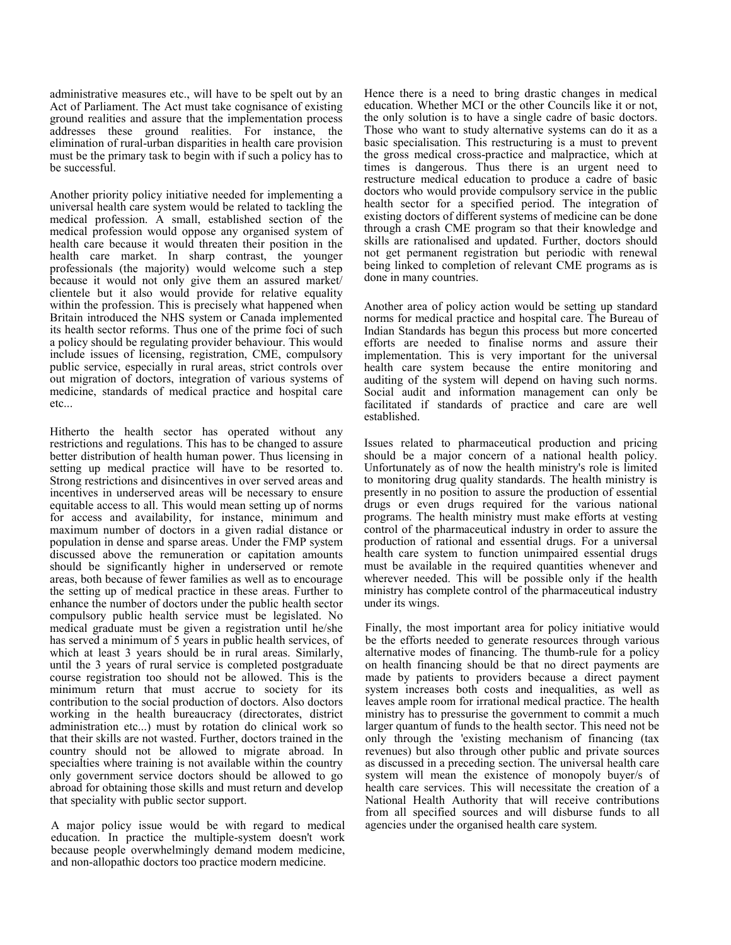administrative measures etc., will have to be spelt out by an Act of Parliament. The Act must take cognisance of existing ground realities and assure that the implementation process addresses these ground realities. For instance, the elimination of rural-urban disparities in health care provision must be the primary task to begin with if such a policy has to be successful.

Another priority policy initiative needed for implementing a universal health care system would be related to tackling the medical profession. A small, established section of the medical profession would oppose any organised system of health care because it would threaten their position in the health care market. In sharp contrast, the younger professionals (the majority) would welcome such a step because it would not only give them an assured market/ clientele but it also would provide for relative equality within the profession. This is precisely what happened when Britain introduced the NHS system or Canada implemented its health sector reforms. Thus one of the prime foci of such a policy should be regulating provider behaviour. This would include issues of licensing, registration, CME, compulsory public service, especially in rural areas, strict controls over out migration of doctors, integration of various systems of medicine, standards of medical practice and hospital care etc...

Hitherto the health sector has operated without any restrictions and regulations. This has to be changed to assure better distribution of health human power. Thus licensing in setting up medical practice will have to be resorted to. Strong restrictions and disincentives in over served areas and incentives in underserved areas will be necessary to ensure equitable access to all. This would mean setting up of norms for access and availability, for instance, minimum and maximum number of doctors in a given radial distance or population in dense and sparse areas. Under the FMP system discussed above the remuneration or capitation amounts should be significantly higher in underserved or remote areas, both because of fewer families as well as to encourage the setting up of medical practice in these areas. Further to enhance the number of doctors under the public health sector compulsory public health service must be legislated. No medical graduate must be given a registration until he/she has served a minimum of 5 years in public health services, of which at least 3 years should be in rural areas. Similarly, until the 3 years of rural service is completed postgraduate course registration too should not be allowed. This is the minimum return that must accrue to society for its contribution to the social production of doctors. Also doctors working in the health bureaucracy (directorates, district administration etc...) must by rotation do clinical work so that their skills are not wasted. Further, doctors trained in the country should not be allowed to migrate abroad. In specialties where training is not available within the country only government service doctors should be allowed to go abroad for obtaining those skills and must return and develop that speciality with public sector support.

A major policy issue would be with regard to medical education. In practice the multiple-system doesn't work because people overwhelmingly demand modem medicine, and non-allopathic doctors too practice modern medicine.

Hence there is a need to bring drastic changes in medical education. Whether MCI or the other Councils like it or not, the only solution is to have a single cadre of basic doctors. Those who want to study alternative systems can do it as a basic specialisation. This restructuring is a must to prevent the gross medical cross-practice and malpractice, which at times is dangerous. Thus there is an urgent need to restructure medical education to produce a cadre of basic doctors who would provide compulsory service in the public health sector for a specified period. The integration of existing doctors of different systems of medicine can be done through a crash CME program so that their knowledge and skills are rationalised and updated. Further, doctors should not get permanent registration but periodic with renewal being linked to completion of relevant CME programs as is done in many countries.

Another area of policy action would be setting up standard norms for medical practice and hospital care. The Bureau of Indian Standards has begun this process but more concerted efforts are needed to finalise norms and assure their implementation. This is very important for the universal health care system because the entire monitoring and auditing of the system will depend on having such norms. Social audit and information management can only be facilitated if standards of practice and care are well established.

Issues related to pharmaceutical production and pricing should be a major concern of a national health policy. Unfortunately as of now the health ministry's role is limited to monitoring drug quality standards. The health ministry is presently in no position to assure the production of essential drugs or even drugs required for the various national programs. The health ministry must make efforts at vesting control of the pharmaceutical industry in order to assure the production of rational and essential drugs. For a universal health care system to function unimpaired essential drugs must be available in the required quantities whenever and wherever needed. This will be possible only if the health ministry has complete control of the pharmaceutical industry under its wings.

Finally, the most important area for policy initiative would be the efforts needed to generate resources through various alternative modes of financing. The thumb-rule for a policy on health financing should be that no direct payments are made by patients to providers because a direct payment system increases both costs and inequalities, as well as leaves ample room for irrational medical practice. The health ministry has to pressurise the government to commit a much larger quantum of funds to the health sector. This need not be only through the 'existing mechanism of financing (tax revenues) but also through other public and private sources as discussed in a preceding section. The universal health care system will mean the existence of monopoly buyer/s of health care services. This will necessitate the creation of a National Health Authority that will receive contributions from all specified sources and will disburse funds to all agencies under the organised health care system.